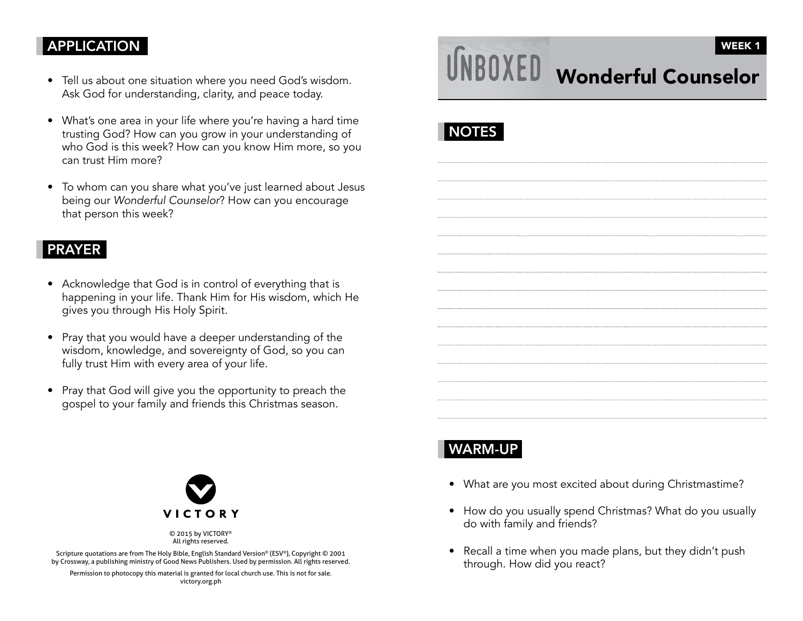### APPLICATION

- Tell us about one situation where you need God's wisdom. Ask God for understanding, clarity, and peace today.
- What's one area in your life where you're having a hard time trusting God? How can you grow in your understanding of who God is this week? How can you know Him more, so you can trust Him more?
- To whom can you share what you've just learned about Jesus being our Wonderful Counselor? How can you encourage that person this week?

#### PRAYER

- Acknowledge that God is in control of everything that is happening in your life. Thank Him for His wisdom, which He <sup>g</sup>ives you through His Holy Spirit.
- Pray that you would have a deeper understanding of the wisdom, knowledge, and sovereignty of God, so you can fully trust Him with every area of your life.
- Pray that God will give you the opportunity to preach the gospel to your family and friends this Christmas season.



© 2015 by VICTORY® All rights reserved.

Scripture quotations are from The Holy Bible, English Standard Version® (ESV®), Copyright © 2001 by Crossway, a publishing ministry of Good News Publishers. Used by permission. All rights reserved.

Permission to photocopy this material is granted for local church use. This is not for sale. victory.org.ph

# Wonderful Counselor WEEK 1

# **NOTES**

## WARM-UP

- What are you most excited about during Christmastime?
- How do you usually spend Christmas? What do you usually do with family and friends?
- Recall a time when you made plans, but they didn't push through. How did you react?